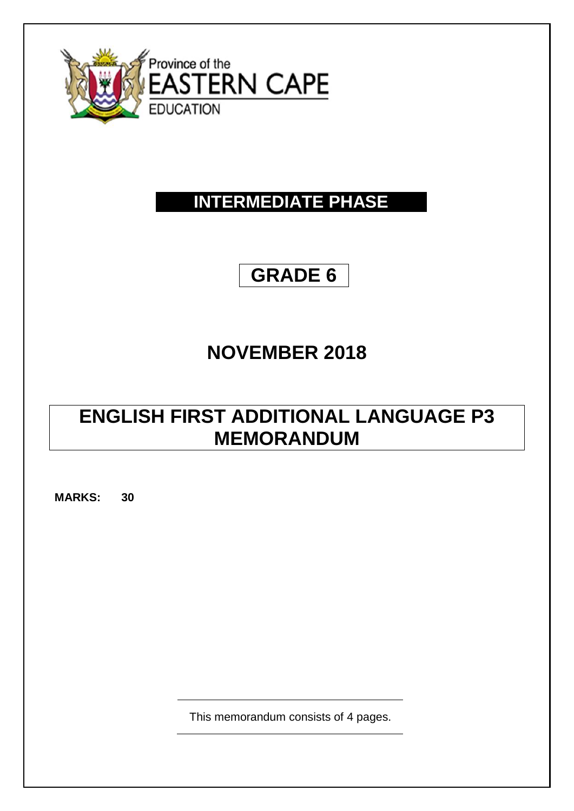

### **INTERMEDIATE PHASE**

# **GRADE 6**

### **NOVEMBER 2018**

## **ENGLISH FIRST ADDITIONAL LANGUAGE P3 MEMORANDUM**

**MARKS: 30**

This memorandum consists of 4 pages.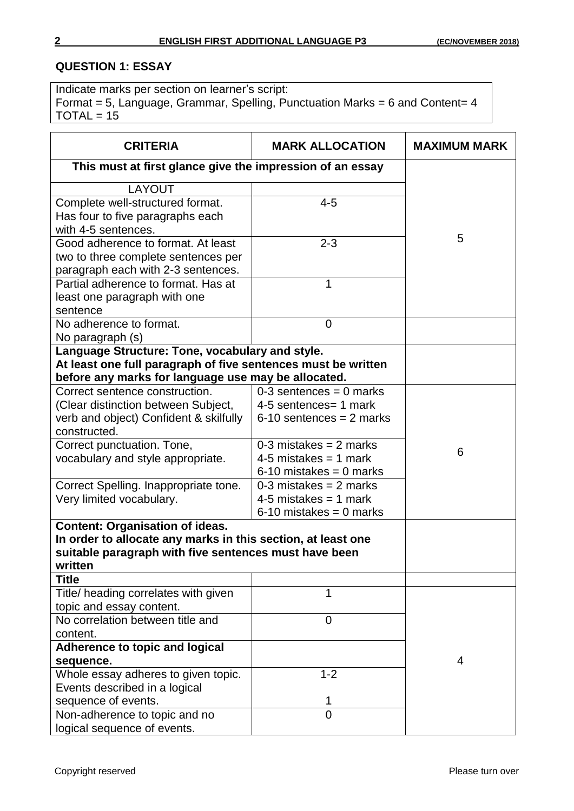#### **QUESTION 1: ESSAY**

Indicate marks per section on learner's script: Format = 5, Language, Grammar, Spelling, Punctuation Marks = 6 and Content=  $4$  $TOTAL = 15$ 

| <b>CRITERIA</b>                                               | <b>MARK ALLOCATION</b>     | <b>MAXIMUM MARK</b> |
|---------------------------------------------------------------|----------------------------|---------------------|
| This must at first glance give the impression of an essay     |                            |                     |
| LAYOUT                                                        |                            |                     |
| Complete well-structured format.                              | $4 - 5$                    |                     |
| Has four to five paragraphs each                              |                            |                     |
| with 4-5 sentences.                                           |                            |                     |
| Good adherence to format. At least                            | $2 - 3$                    | 5                   |
| two to three complete sentences per                           |                            |                     |
| paragraph each with 2-3 sentences.                            |                            |                     |
| Partial adherence to format. Has at                           | 1                          |                     |
| least one paragraph with one                                  |                            |                     |
| sentence                                                      |                            |                     |
| No adherence to format.                                       | $\mathbf 0$                |                     |
| No paragraph (s)                                              |                            |                     |
| Language Structure: Tone, vocabulary and style.               |                            |                     |
| At least one full paragraph of five sentences must be written |                            |                     |
| before any marks for language use may be allocated.           |                            |                     |
| Correct sentence construction.                                | $0-3$ sentences = 0 marks  |                     |
| (Clear distinction between Subject,                           | 4-5 sentences = 1 mark     |                     |
| verb and object) Confident & skilfully                        | $6-10$ sentences = 2 marks |                     |
| constructed.                                                  | $0-3$ mistakes = 2 marks   |                     |
| Correct punctuation. Tone,                                    | 4-5 mistakes = 1 mark      | 6                   |
| vocabulary and style appropriate.                             | $6-10$ mistakes = 0 marks  |                     |
| Correct Spelling. Inappropriate tone.                         | $0-3$ mistakes = 2 marks   |                     |
| Very limited vocabulary.                                      | 4-5 mistakes = 1 mark      |                     |
|                                                               | $6-10$ mistakes = 0 marks  |                     |
| <b>Content: Organisation of ideas.</b>                        |                            |                     |
| In order to allocate any marks in this section, at least one  |                            |                     |
| suitable paragraph with five sentences must have been         |                            |                     |
| written                                                       |                            |                     |
| <b>Title</b>                                                  |                            |                     |
| Title/ heading correlates with given                          | 1                          |                     |
| topic and essay content.                                      |                            |                     |
| No correlation between title and                              | 0                          |                     |
| content.                                                      |                            |                     |
| Adherence to topic and logical                                |                            |                     |
| sequence.                                                     |                            | 4                   |
| Whole essay adheres to given topic.                           | $1 - 2$                    |                     |
| Events described in a logical                                 |                            |                     |
| sequence of events.                                           | 1                          |                     |
| Non-adherence to topic and no                                 | $\overline{0}$             |                     |
| logical sequence of events.                                   |                            |                     |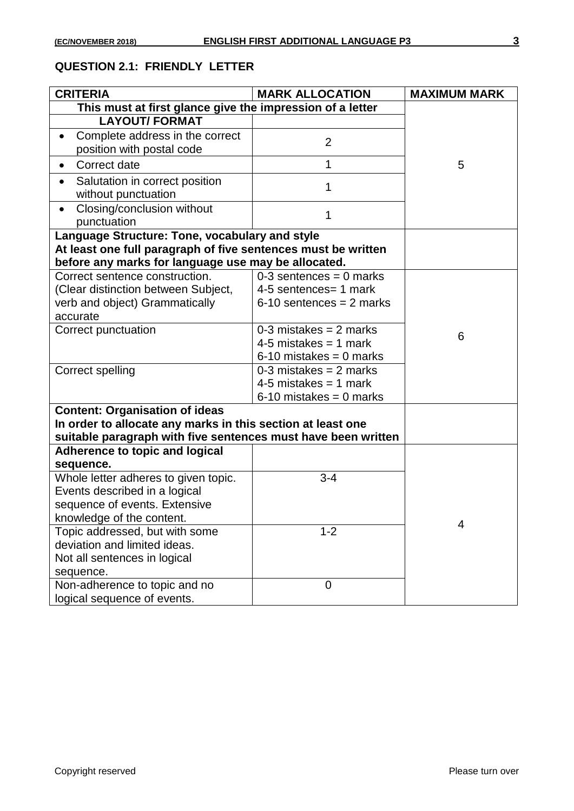#### **QUESTION 2.1: FRIENDLY LETTER**

| <b>CRITERIA</b>                                                    | <b>MARK ALLOCATION</b>     | <b>MAXIMUM MARK</b> |
|--------------------------------------------------------------------|----------------------------|---------------------|
| This must at first glance give the impression of a letter          |                            |                     |
| <b>LAYOUT/ FORMAT</b>                                              |                            |                     |
| Complete address in the correct<br>position with postal code       | $\overline{2}$             |                     |
| Correct date                                                       | 1                          | 5                   |
| Salutation in correct position<br>$\bullet$<br>without punctuation | 1                          |                     |
| Closing/conclusion without<br>$\bullet$<br>punctuation             | 1                          |                     |
| Language Structure: Tone, vocabulary and style                     |                            |                     |
| At least one full paragraph of five sentences must be written      |                            |                     |
| before any marks for language use may be allocated.                |                            |                     |
| Correct sentence construction.                                     | $0-3$ sentences = 0 marks  |                     |
| (Clear distinction between Subject,                                | 4-5 sentences = 1 mark     |                     |
| verb and object) Grammatically                                     | $6-10$ sentences = 2 marks |                     |
| accurate                                                           |                            |                     |
| Correct punctuation                                                | $0-3$ mistakes = 2 marks   | 6                   |
|                                                                    | 4-5 mistakes = 1 mark      |                     |
|                                                                    | $6-10$ mistakes = 0 marks  |                     |
| <b>Correct spelling</b>                                            | $0-3$ mistakes = 2 marks   |                     |
|                                                                    | 4-5 mistakes = 1 mark      |                     |
|                                                                    | $6-10$ mistakes = 0 marks  |                     |
| <b>Content: Organisation of ideas</b>                              |                            |                     |
| In order to allocate any marks in this section at least one        |                            |                     |
| suitable paragraph with five sentences must have been written      |                            |                     |
| Adherence to topic and logical                                     |                            |                     |
| sequence.<br>Whole letter adheres to given topic.                  | $3 - 4$                    |                     |
| Events described in a logical                                      |                            |                     |
| sequence of events. Extensive                                      |                            |                     |
| knowledge of the content.                                          |                            |                     |
| Topic addressed, but with some                                     | $1 - 2$                    | 4                   |
| deviation and limited ideas.                                       |                            |                     |
| Not all sentences in logical                                       |                            |                     |
| sequence.                                                          |                            |                     |
| Non-adherence to topic and no                                      | $\mathbf 0$                |                     |
| logical sequence of events.                                        |                            |                     |